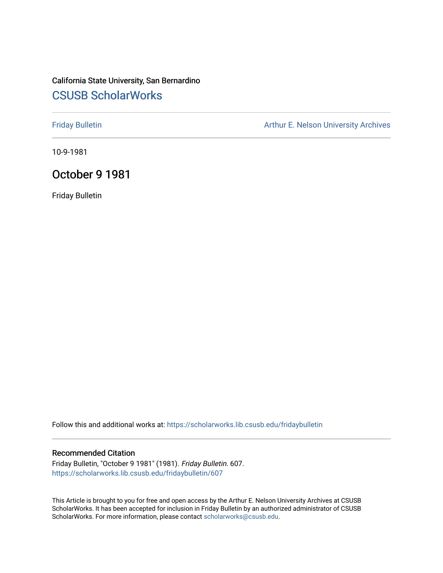# California State University, San Bernardino [CSUSB ScholarWorks](https://scholarworks.lib.csusb.edu/)

[Friday Bulletin](https://scholarworks.lib.csusb.edu/fridaybulletin) **Arthur E. Nelson University Archives** Arthur E. Nelson University Archives

10-9-1981

## October 9 1981

Friday Bulletin

Follow this and additional works at: [https://scholarworks.lib.csusb.edu/fridaybulletin](https://scholarworks.lib.csusb.edu/fridaybulletin?utm_source=scholarworks.lib.csusb.edu%2Ffridaybulletin%2F607&utm_medium=PDF&utm_campaign=PDFCoverPages)

### Recommended Citation

Friday Bulletin, "October 9 1981" (1981). Friday Bulletin. 607. [https://scholarworks.lib.csusb.edu/fridaybulletin/607](https://scholarworks.lib.csusb.edu/fridaybulletin/607?utm_source=scholarworks.lib.csusb.edu%2Ffridaybulletin%2F607&utm_medium=PDF&utm_campaign=PDFCoverPages)

This Article is brought to you for free and open access by the Arthur E. Nelson University Archives at CSUSB ScholarWorks. It has been accepted for inclusion in Friday Bulletin by an authorized administrator of CSUSB ScholarWorks. For more information, please contact [scholarworks@csusb.edu.](mailto:scholarworks@csusb.edu)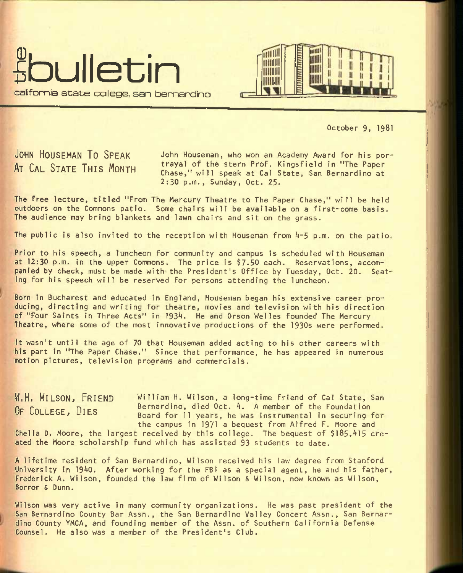



October 9, 1981

**J**OHN **H**OUSEMAN **T**O **S**PEAK John Houseman, who won an Academy Award for his por-AT CAL STATE THIS MONTH trayal of the stern Prof. Kingsfield in "The Paper Chase," will speak at Cal State, San Bernardino at 2:30 p.m., Sunday, Oct, 25.

The free lecture, titled "From The Mercury Theatre to The Paper Chase," will be held outdoors on the Commons patio. Some chairs will be available on a first-come basis. The audience may bring blankets and lawn chairs and sit on the grass.

The public is also invited to the reception with Houseman from A-5 p.m. on the patio,

Prior to his speech, a luncheon for community and campus is scheduled with Houseman at 12:30 p.m. in the upper Commons. The price is \$7.50 each. Reservations, accompanied by check, must be made with the President's Office by Tuesday, Oct. 20. Seating for his speech will be reserved for persons attending the luncheon.

Born in Bucharest and educated in England, Houseman began his extensive career producing, directing and writing for theatre, movies and television with his direction of "Four Saints in Three Acts" in 1934. He and Orson Welles founded The Mercury Theatre, where some of the most innovative productions of the 1930s were performed.

It wasn't until the age of 70 that Houseman added acting to his other careers with his part in "The Paper Chase." Since that performance, he has appeared in numerous motion pictures, television programs and commercials.

W.H. WILSON, FRIEND William H. Wilson, a long-time friend of Cal State, San **OF COLLEGE, DIES** Bernardino, died Oct. 4. A member of the Foundation Board for 11 years, he was instrumental in securing for the campus in 1971 a bequest from Alfred F. Moore and Chella D. Moore, the largest received by this college. The bequest of \$185,415 cre-

ated the Moore scholarship fund which has assisted 93 students to date.

A lifetime resident of San Bernardino, Wilson received his law degree from Stanford University In 1940. After working for the FBI as a special agent, he and his father, Frederick A. Wilson, founded the law firm of Wilson & Wilson, now known as Wilson, Borror & Dunn.

Wilson was very active in many community organizations. He was past president of the San Bernardino County Bar Assn., the San Bernardino Valley Concert Assn., San Bernardino County YMCA, and founding member of the Assn. of Southern California Defense Counsel. He also was a member of the President's Club.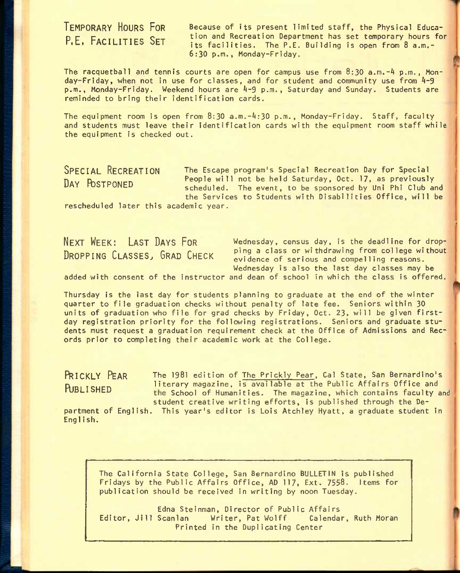**T**EMPORARY **H**OURS **F**OR **P.E, F**ACILITIES **S**ET

Because of its present limited staff, the Physical Education and Recreation Department has set temporary hours for its facilities. The P.E. Building is open from 8 a.m.- 6:30 p.m., Monday-Friday.

The racquetball and tennis courts are open for campus use from 8:30 a.m.-4 p.m., Monday-Friday, when not in use for classes, and for student and community use from 4-9 p.m., Monday-Friday. Weekend hours are 4-9 p.m., Saturday and Sunday. Students are reminded to bring their identification cards.

The equipment room is open from 8:30 a.m.-4:30 p.m., Monday-Friday. Staff, faculty and students must leave their identification cards with the equipment room staff while the equipment is checked out.

**S**PECIAL **R**ECREATION The Escape program's special Recreation Day for Special DAY POSTPONED People will not be held Saturday, Oct. 17, as previously scheduled. The event, to be sponsored by Uni Phi Club and the Services to Students with Disabilities Office, will be

rescheduled later this academic year.

NEXT WEEK: LAST DAYS FOR Wednesday, census day, is the deadline for drop-**DROPPING CLASSES, GRAD CHECK** ping a class or withdrawing from college without  $P$ <sub>R</sub>  $P$ <sup>2</sup> **C**<sub>C</sub>  $P$ <sup>2</sup> **C**<sub>C</sub> **C**<sub>C</sub> **C**<sub>C</sub> **C**<sub>C</sub> **C**<sub>C</sub> **C**<sub>C</sub> **C**<sub>C</sub> **C**<sub>C</sub> **C**<sub>C</sub> **C**<sub>C</sub> **C**<sub>C</sub> **C**<sub>C</sub> **C**<sub>C</sub> **C**<sub>C</sub> **C**<sub>C</sub> **C**<sub>C</sub> **C**<sub>C</sub> **C**<sub>C</sub> **C**<sub>C</sub> **C** Wednesday is also the last day classes may be

added with consent of the instructor and dean of school in which the class is offered.

Thursday is the last day for students planning to graduate at the end of the winter quarter to file graduation checks without penalty of late fee. Seniors within 30 units of graduation who file for grad checks by Friday, Oct. 23, will be given firstday registration priority for the following registrations. Seniors and graduate students must request a graduation requirement check at the Office of Admissions and Records prior to completing their academic work at the College.

**PRICKLY PEAR** The 1981 edition of The Prickly Pear, Cal State, San Bernardino's PUBLISHED literary magazine, is available at the Public Affairs Office and the School of Humanities. The magazine, which contains faculty and student creative writing efforts, is published through the De-

partment of English. This year's editor is Lois Atchley Hyatt, a graduate student in English.

The California State College, San Bernardino BULLETIN is published Fridays by the Public Affairs Office, AD 117, Ext. 7558. Items for publication should be received in writing by noon Tuesday.

Edna Stelnman, Director of Public Affairs Editor, Jill Scanlan Writer, Pat Wolff Calendar, Ruth Moran Printed in the Duplicating Center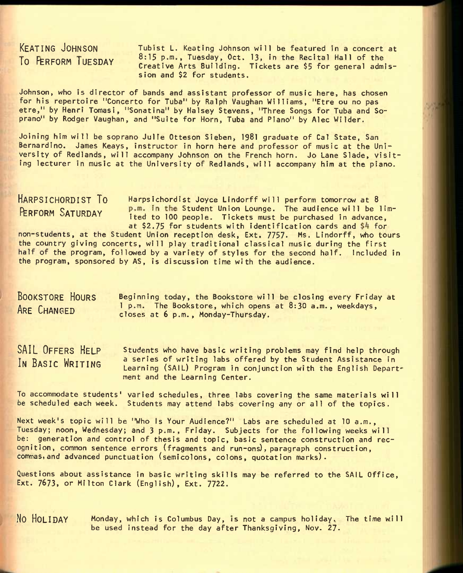# KEATING JOHNSON **TO PERFORM TUESDAY**

Tubist L. Keating Johnson will be featured in a concert at 8:15 p.m., Tuesday, Oct. 13, in the Recital Hall of the Creative Arts Building. Tickets are \$5 for general admission and \$2 for students.

Johnson, who is director of bands and assistant professor of music here, has chosen for his repertoire "Concerto for Tuba" by Ralph Vaughan Williams, "Etre ou no pas etre," by Henri Tomasi, "Sonatina" by Halsey Stevens, "Three Songs for Tuba and Soprano" by Rodger Vaughan, and "Suite for Horn, Tuba and Piano" by Alec Wilder.

Joining him will be soprano Julie Otteson Sieben, 1981 graduate of Cal State, San Bernardino. James Keays, instructor in horn here and professor of music at the University of Redlands, will accompany Johnson on the French horn. Jo Lane Slade, visiting lecturer in music at the University of Redlands, will accompany him at the piano.

HARPSICHORDIST TO Harpsichordist Joyce Lindorff will perform tomorrow at 8 PERFORM SATURDAY  $P.m.$  In the Student Union Lounge. The audience will be lim-<br>Tipotes with the low poople. Tipotes with be purchased in advance ited to 100 people. Tickets must be purchased in advance, at \$2.75 for students with identification cards and \$4 for

non-students, at the Student Union reception desk, Ext. 7757- Ms. Lindorff, who tours the country giving concerts, will play traditional classical music during the first half of the program, followed by a variety of styles for the second half. Included in the program, sponsored by AS, is discussion time with the audience.

| <b>BOOKSTORE HOURS</b><br>Beginning today, the Bookstore will be closing every Friday at |                                                           |
|------------------------------------------------------------------------------------------|-----------------------------------------------------------|
| ARE CHANGED<br>closes at 6 p.m., Monday-Thursday.                                        | 1 p.m. The Bookstore, which opens at 8:30 a.m., weekdays, |

SAIL OFFERS HELP IN BASIC WRITING Students who have basic writing problems may find help through a series of writing labs offered by the Student Assistance in Learning (SAIL) Program in conjunction with the English Department and the Learning Center.

To accommodate students' varied schedules, three labs covering the same materials will be scheduled each week. Students may attend labs covering any or all of the topics.

Next week's topic will be "Who Is Your Audience?" Labs are scheduled at 10 a.m., Tuesday; noon, Wednesday; and 3 p.m., Friday. Subjects for the following weeks will be: generation and control of thesis and topic, basic sentence construction and recognition, common sentence errors (fragments and run-ons), paragraph construction, commas,and advanced punctuation (semicolons, colons, quotation marks).

Questions about assistance in basic writing skills may be referred to the SAIL Office, Ext. 7673, or Milton Clark (English), Ext. 7722.

No HOLIDAY Monday, which is Columbus Day, is not a campus holiday. The time will be used instead for the day after Thanksgiving, Nov. 27.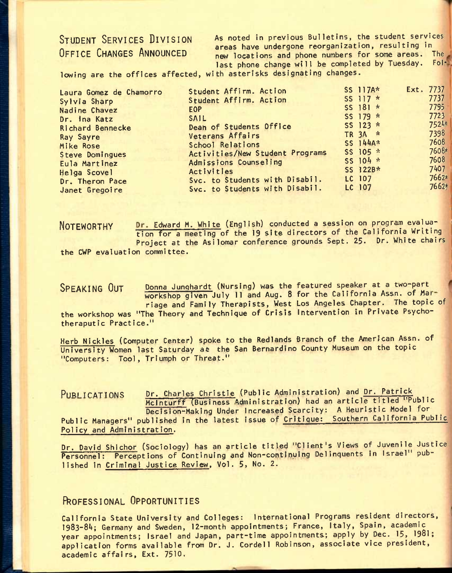## STUDENT SERVICES DIVISION OFFICE CHANGES ANNOUNCED

As noted in previous Bulletins, the student services areas have undergone reorganization, resulting in new locations and phone numbers for some areas. The last phone change will be completed by Tuesday.

lowing are the offices affected, with asterisks designating changes.

| Laura Gomez de Chamorro | Student Affirm. Action          |        | SS 117A*   | Ext. 7737 |
|-------------------------|---------------------------------|--------|------------|-----------|
| Sylvia Sharp            | Student Affirm. Action          |        | SS 117 $*$ | 7737      |
| Nadine Chavez           | <b>EOP</b>                      |        | SS $181 *$ | 7795      |
| Dr. Ina Katz            | <b>SAIL</b>                     |        | SS 179 $*$ | 7723      |
| Richard Bennecke        | Dean of Students Office         |        | SS 123 $*$ | 7524*     |
| <b>Ray Sayre</b>        | Veterans Affairs                |        | TR 3A *    | 7398      |
| Mike Rose               | School Relations                |        | SS 144A*   | 7608      |
| Steve Domingues         | Activities/New Student Programs |        | SS 105 *   | 7608*     |
| Eula Martinez           | Admissions Counseling           |        | SS 104 *   | 7608      |
| Helga Scovel            | Activities                      |        | SS 122B*   | 7407      |
| Dr. Theron Pace         | Svc. to Students with Disabil.  | LC 107 |            | 7662*     |
| Janet Gregoire          | Svc. to Students with Disabil.  | LC 107 |            | 7662*     |

NOTEWORTHY Dr. Edward M. White (English) conducted a session on program evaluation for a meeting of the 19 site directors of the California Writing Project at the Asilomar conference grounds Sept. 25. Dr. White chairs **the CWP** evaluation committee.

SPEAKING OUT Donna Junghardt (Nursing) was the featured speaker at a two-part workshop given July 11 and Aug. 8 for the California Assn. of Marriage and Family Therapists, West Los Angeles Chapter. The topic of the workshop was "The Theory and Technique of Crisis Intervention in Private Psychotheraputic Practice."

Herb Nickles (Computer Center) spoke to the Redlands Branch of the American Assn. of University Women last Saturday at the San Bernardino County Museum on the topic "Computers: Tool, Triumph or Threat."

PUBLICATIONS Dr. Charles Christie (Public Administration) and Dr. Patrick McInturff (Business Administration) had an article titled "Public Decision-Making Under Increased Scarcity: A Heuristic Model for Public Managers" published in the latest issue of Critique: Southern California Public Policy and Administration.

Dr. David Shichor (Sociology) has an article titled "Client's Views of Juvenile Justice Personnel: Perceptions of Continuing and Non-continuing Delinquents in Israel" published In Criminal Justice Review, Vol. 5, No. 2.

## **ROFESSIONAL OPPORTUNITIES**

California State University and Colleges: International Programs resident directors, I983-8A; Germany and Sweden, 12-month appointments; France, Italy, Spain, academic year appointments; Israel and Japan, part-time appointments; apply by Dec. 15, 1981; application forms available from Dr. J. Cordell Robinson, associate vice president, academic affairs, Ext. 7510.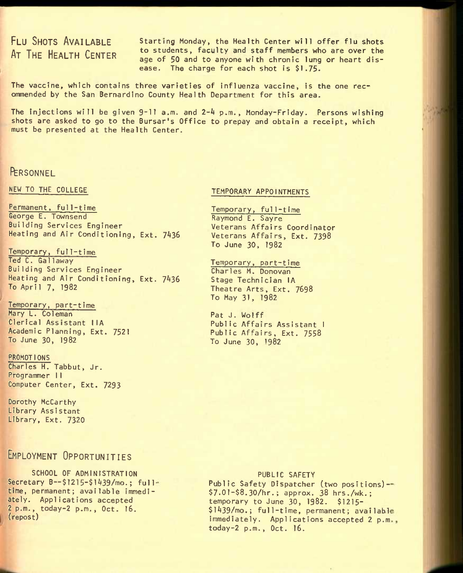# FLU SHOTS AVAILABLE AT THE HEALTH CENTER

Starting Monday, the Health Center will offer flu shots to students, faculty and staff members who are over the age of 50 and to anyone with chronic lung or heart disease. The charge for each shot is \$1.75.

The vaccine, which contains three varieties of influenza vaccine, is the one recommended by the San Bernardino County Health Department for this area.

The injections will be given 9-11 a.m. and 2-4 p.m., Monday-Friday. Persons wishing shots are asked to go to the Bursar's Office to prepay and obtain a receipt, which must be presented at the Health Center.

## **PERSONNEL**

NEW TO THE COLLEGE

Permanent, ful1-time George E. Townsend Building Services Engineer Heating and Air Conditioning, Ext. 7436

Temporary, full-time Ted C. Gallaway Building Services Engineer Heating and Air Conditioning, Ext. 7436 To April 7, 1982

Temporary, part-time Mary L. Coleman Clerical Assistant IIA Academic Planning, Ext. 7521 To June 30, 1982

#### PROMOTIONS Charles H. Tabbut, Jr. Programmer I I

Computer Center, Ext. 7293

Dorothy McCarthy Library Assistant Library, Ext. 7320

## EMPLOYMENT OPPORTUNITIES

SCHOOL OF ADMINISTRATION Secretary B--\$1215-\$1439/mo.; fulltime, permanent; available immediately. Applications accepted 2p.m., today-2 p.m., Oct. 16. (repost)

## TEMPORARY APPOINTMENTS

Temporary, full-time Raymond E. Sayre Veterans Affairs Coordinator Veterans Affairs, Ext. 7398 To June 30, 1982

Temporary, part-time Charles M. Donovan Stage Technician lA Theatre Arts, Ext. 7698 To May 31, 1982

Pat J. Wolff Public Affairs Assistant 1 Public Affairs, Ext. 7558 To June 30, 1982

#### PUBLIC SAFETY

Public Safety Dispatcher (two positions)--\$7.01-\$8.30/hr.; approx. 38 hrs./wk.; temporary to June 30, 1982. \$1215- \$l439/mo.; ful1-t ime, permanent; availab-1 immediately. Applications accepted 2 p.m., today-2 p.m., Oct. 16.